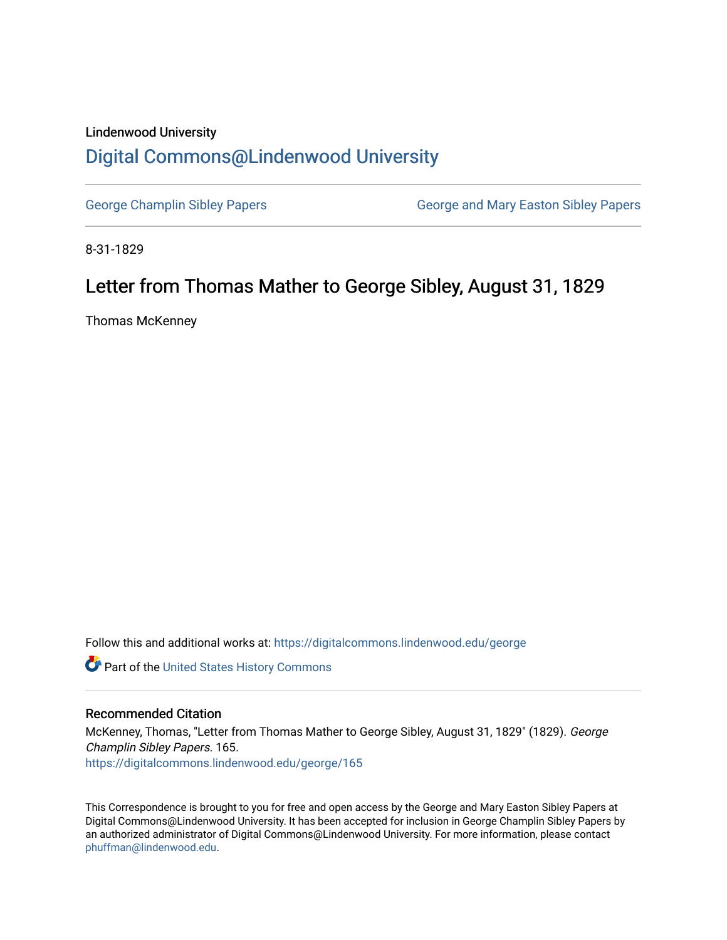### Lindenwood University

## [Digital Commons@Lindenwood University](https://digitalcommons.lindenwood.edu/)

[George Champlin Sibley Papers](https://digitalcommons.lindenwood.edu/george) George and Mary Easton Sibley Papers

8-31-1829

# Letter from Thomas Mather to George Sibley, August 31, 1829

Thomas McKenney

Follow this and additional works at: [https://digitalcommons.lindenwood.edu/george](https://digitalcommons.lindenwood.edu/george?utm_source=digitalcommons.lindenwood.edu%2Fgeorge%2F165&utm_medium=PDF&utm_campaign=PDFCoverPages)

Part of the [United States History Commons](http://network.bepress.com/hgg/discipline/495?utm_source=digitalcommons.lindenwood.edu%2Fgeorge%2F165&utm_medium=PDF&utm_campaign=PDFCoverPages) 

#### Recommended Citation

McKenney, Thomas, "Letter from Thomas Mather to George Sibley, August 31, 1829" (1829). George Champlin Sibley Papers. 165. [https://digitalcommons.lindenwood.edu/george/165](https://digitalcommons.lindenwood.edu/george/165?utm_source=digitalcommons.lindenwood.edu%2Fgeorge%2F165&utm_medium=PDF&utm_campaign=PDFCoverPages)

This Correspondence is brought to you for free and open access by the George and Mary Easton Sibley Papers at Digital Commons@Lindenwood University. It has been accepted for inclusion in George Champlin Sibley Papers by an authorized administrator of Digital Commons@Lindenwood University. For more information, please contact [phuffman@lindenwood.edu](mailto:phuffman@lindenwood.edu).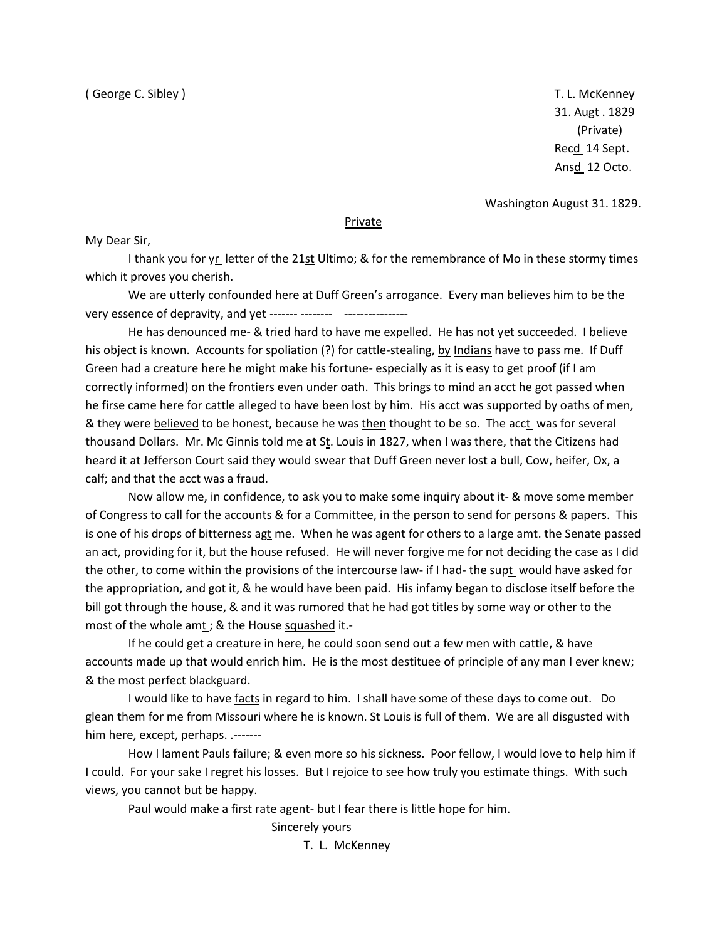31. Augt . 1829 (Private) Recd 14 Sept. Ansd 12 Octo.

Washington August 31. 1829.

#### **Private**

My Dear Sir,

I thank you for yr letter of the 21st Ultimo; & for the remembrance of Mo in these stormy times which it proves you cherish.

We are utterly confounded here at Duff Green's arrogance. Every man believes him to be the very essence of depravity, and yet ------- --------

He has denounced me- & tried hard to have me expelled. He has not yet succeeded. I believe his object is known. Accounts for spoliation (?) for cattle-stealing, by Indians have to pass me. If Duff Green had a creature here he might make his fortune- especially as it is easy to get proof (if I am correctly informed) on the frontiers even under oath. This brings to mind an acct he got passed when he firse came here for cattle alleged to have been lost by him. His acct was supported by oaths of men, & they were believed to be honest, because he was then thought to be so. The acct was for several thousand Dollars. Mr. Mc Ginnis told me at St. Louis in 1827, when I was there, that the Citizens had heard it at Jefferson Court said they would swear that Duff Green never lost a bull, Cow, heifer, Ox, a calf; and that the acct was a fraud.

Now allow me, in confidence, to ask you to make some inquiry about it- & move some member of Congress to call for the accounts & for a Committee, in the person to send for persons & papers. This is one of his drops of bitterness agt me. When he was agent for others to a large amt. the Senate passed an act, providing for it, but the house refused. He will never forgive me for not deciding the case as I did the other, to come within the provisions of the intercourse law- if I had- the supt would have asked for the appropriation, and got it, & he would have been paid. His infamy began to disclose itself before the bill got through the house, & and it was rumored that he had got titles by some way or other to the most of the whole amt ; & the House squashed it .-

If he could get a creature in here, he could soon send out a few men with cattle, & have accounts made up that would enrich him. He is the most destituee of principle of any man I ever knew; & the most perfect blackguard.

I would like to have facts in regard to him. I shall have some of these days to come out. Do glean them for me from Missouri where he is known. St Louis is full of them. We are all disgusted with him here, except, perhaps. .-------

How I lament Pauls failure; & even more so his sickness. Poor fellow, I would love to help him if I could. For your sake I regret his losses. But I rejoice to see how truly you estimate things. With such views, you cannot but be happy.

Paul would make a first rate agent- but I fear there is little hope for him.

Sincerely yours

T. L. McKenney